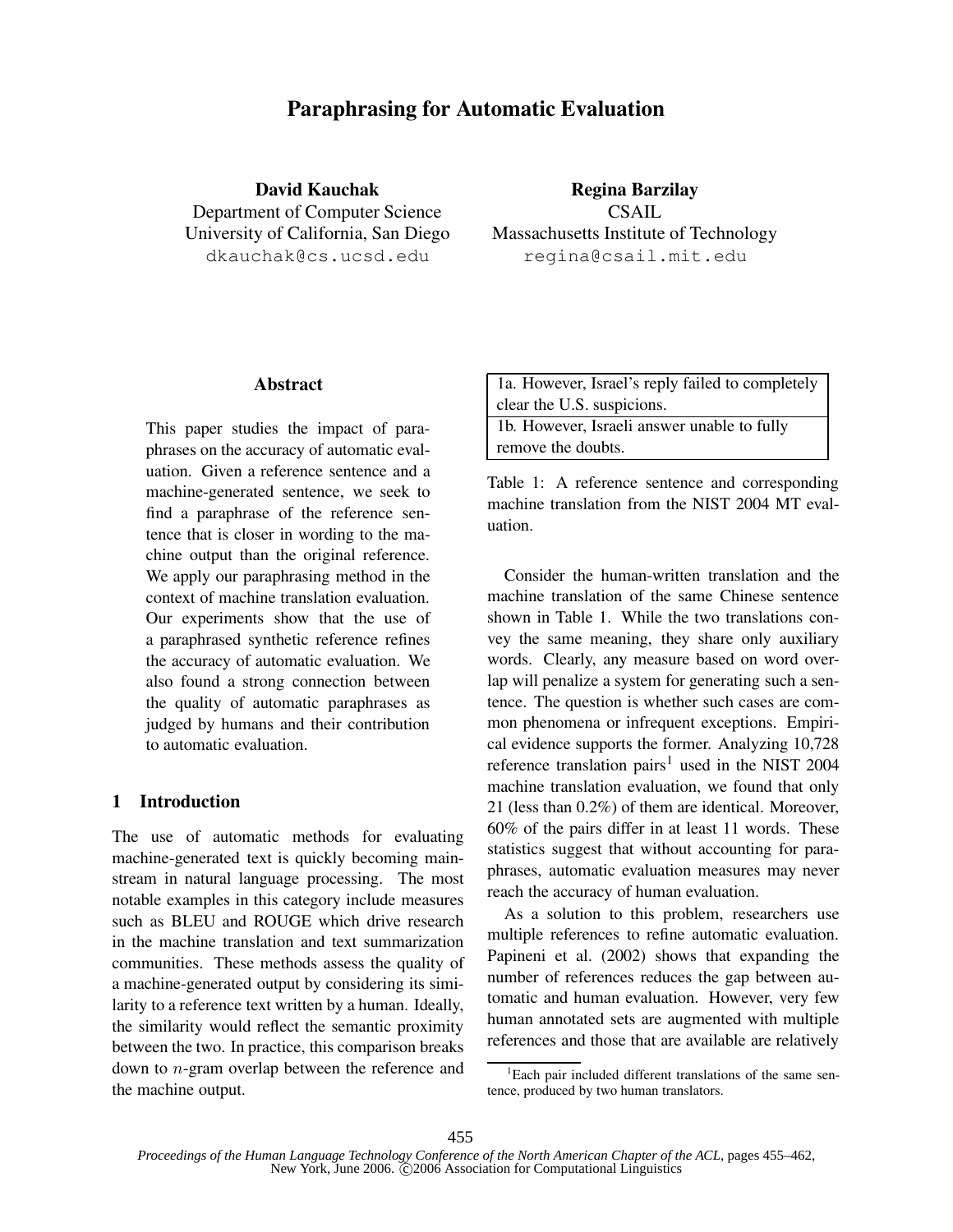# **Paraphrasing for Automatic Evaluation**

**David Kauchak** Department of Computer Science University of California, San Diego dkauchak@cs.ucsd.edu

**Regina Barzilay** CSAIL Massachusetts Institute of Technology regina@csail.mit.edu

## **Abstract**

This paper studies the impact of paraphrases on the accuracy of automatic evaluation. Given a reference sentence and a machine-generated sentence, we seek to find a paraphrase of the reference sentence that is closer in wording to the machine output than the original reference. We apply our paraphrasing method in the context of machine translation evaluation. Our experiments show that the use of a paraphrased synthetic reference refines the accuracy of automatic evaluation. We also found a strong connection between the quality of automatic paraphrases as judged by humans and their contribution to automatic evaluation.

### **1 Introduction**

The use of automatic methods for evaluating machine-generated text is quickly becoming mainstream in natural language processing. The most notable examples in this category include measures such as BLEU and ROUGE which drive research in the machine translation and text summarization communities. These methods assess the quality of a machine-generated output by considering its similarity to a reference text written by a human. Ideally, the similarity would reflect the semantic proximity between the two. In practice, this comparison breaks down to n-gram overlap between the reference and the machine output.

Table 1: A reference sentence and corresponding machine translation from the NIST 2004 MT evaluation.

Consider the human-written translation and the machine translation of the same Chinese sentence shown in Table 1. While the two translations convey the same meaning, they share only auxiliary words. Clearly, any measure based on word overlap will penalize a system for generating such a sentence. The question is whether such cases are common phenomena or infrequent exceptions. Empirical evidence supports the former. Analyzing 10,728 reference translation pairs<sup>1</sup> used in the NIST 2004 machine translation evaluation, we found that only 21 (less than 0.2%) of them are identical. Moreover, 60% of the pairs differ in at least 11 words. These statistics suggest that without accounting for paraphrases, automatic evaluation measures may never reach the accuracy of human evaluation.

As a solution to this problem, researchers use multiple references to refine automatic evaluation. Papineni et al. (2002) shows that expanding the number of references reduces the gap between automatic and human evaluation. However, very few human annotated sets are augmented with multiple references and those that are available are relatively

<sup>&</sup>lt;sup>1</sup>Each pair included different translations of the same sentence, produced by two human translators.

*Proceedings of the Human Language Technology Conference of the North American Chapter of the ACL*, pages 455–462, New York, June 2006. C 2006 Association for Computational Linguistics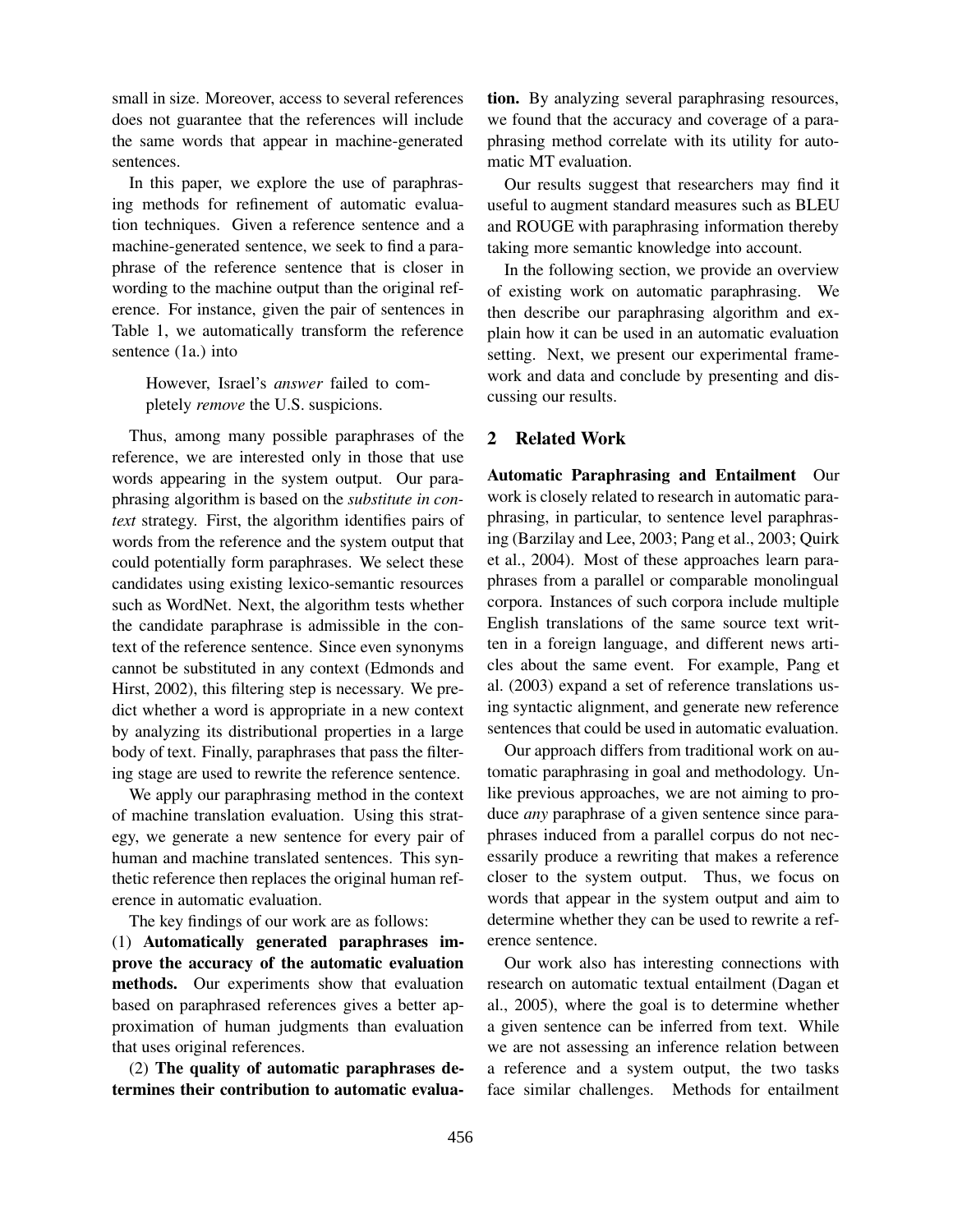small in size. Moreover, access to several references does not guarantee that the references will include the same words that appear in machine-generated sentences.

In this paper, we explore the use of paraphrasing methods for refinement of automatic evaluation techniques. Given a reference sentence and a machine-generated sentence, we seek to find a paraphrase of the reference sentence that is closer in wording to the machine output than the original reference. For instance, given the pair of sentences in Table 1, we automatically transform the reference sentence (1a.) into

However, Israel's *answer* failed to completely *remove* the U.S. suspicions.

Thus, among many possible paraphrases of the reference, we are interested only in those that use words appearing in the system output. Our paraphrasing algorithm is based on the *substitute in context* strategy. First, the algorithm identifies pairs of words from the reference and the system output that could potentially form paraphrases. We select these candidates using existing lexico-semantic resources such as WordNet. Next, the algorithm tests whether the candidate paraphrase is admissible in the context of the reference sentence. Since even synonyms cannot be substituted in any context (Edmonds and Hirst, 2002), this filtering step is necessary. We predict whether a word is appropriate in a new context by analyzing its distributional properties in a large body of text. Finally, paraphrases that pass the filtering stage are used to rewrite the reference sentence.

We apply our paraphrasing method in the context of machine translation evaluation. Using this strategy, we generate a new sentence for every pair of human and machine translated sentences. This synthetic reference then replaces the original human reference in automatic evaluation.

The key findings of our work are as follows:

(1) **Automatically generated paraphrases improve the accuracy of the automatic evaluation methods.** Our experiments show that evaluation based on paraphrased references gives a better approximation of human judgments than evaluation that uses original references.

(2) **The quality of automatic paraphrases determines their contribution to automatic evalua-** **tion.** By analyzing several paraphrasing resources, we found that the accuracy and coverage of a paraphrasing method correlate with its utility for automatic MT evaluation.

Our results suggest that researchers may find it useful to augment standard measures such as BLEU and ROUGE with paraphrasing information thereby taking more semantic knowledge into account.

In the following section, we provide an overview of existing work on automatic paraphrasing. We then describe our paraphrasing algorithm and explain how it can be used in an automatic evaluation setting. Next, we present our experimental framework and data and conclude by presenting and discussing our results.

## **2 Related Work**

**Automatic Paraphrasing and Entailment** Our work is closely related to research in automatic paraphrasing, in particular, to sentence level paraphrasing (Barzilay and Lee, 2003; Pang et al., 2003; Quirk et al., 2004). Most of these approaches learn paraphrases from a parallel or comparable monolingual corpora. Instances of such corpora include multiple English translations of the same source text written in a foreign language, and different news articles about the same event. For example, Pang et al. (2003) expand a set of reference translations using syntactic alignment, and generate new reference sentences that could be used in automatic evaluation.

Our approach differs from traditional work on automatic paraphrasing in goal and methodology. Unlike previous approaches, we are not aiming to produce *any* paraphrase of a given sentence since paraphrases induced from a parallel corpus do not necessarily produce a rewriting that makes a reference closer to the system output. Thus, we focus on words that appear in the system output and aim to determine whether they can be used to rewrite a reference sentence.

Our work also has interesting connections with research on automatic textual entailment (Dagan et al., 2005), where the goal is to determine whether a given sentence can be inferred from text. While we are not assessing an inference relation between a reference and a system output, the two tasks face similar challenges. Methods for entailment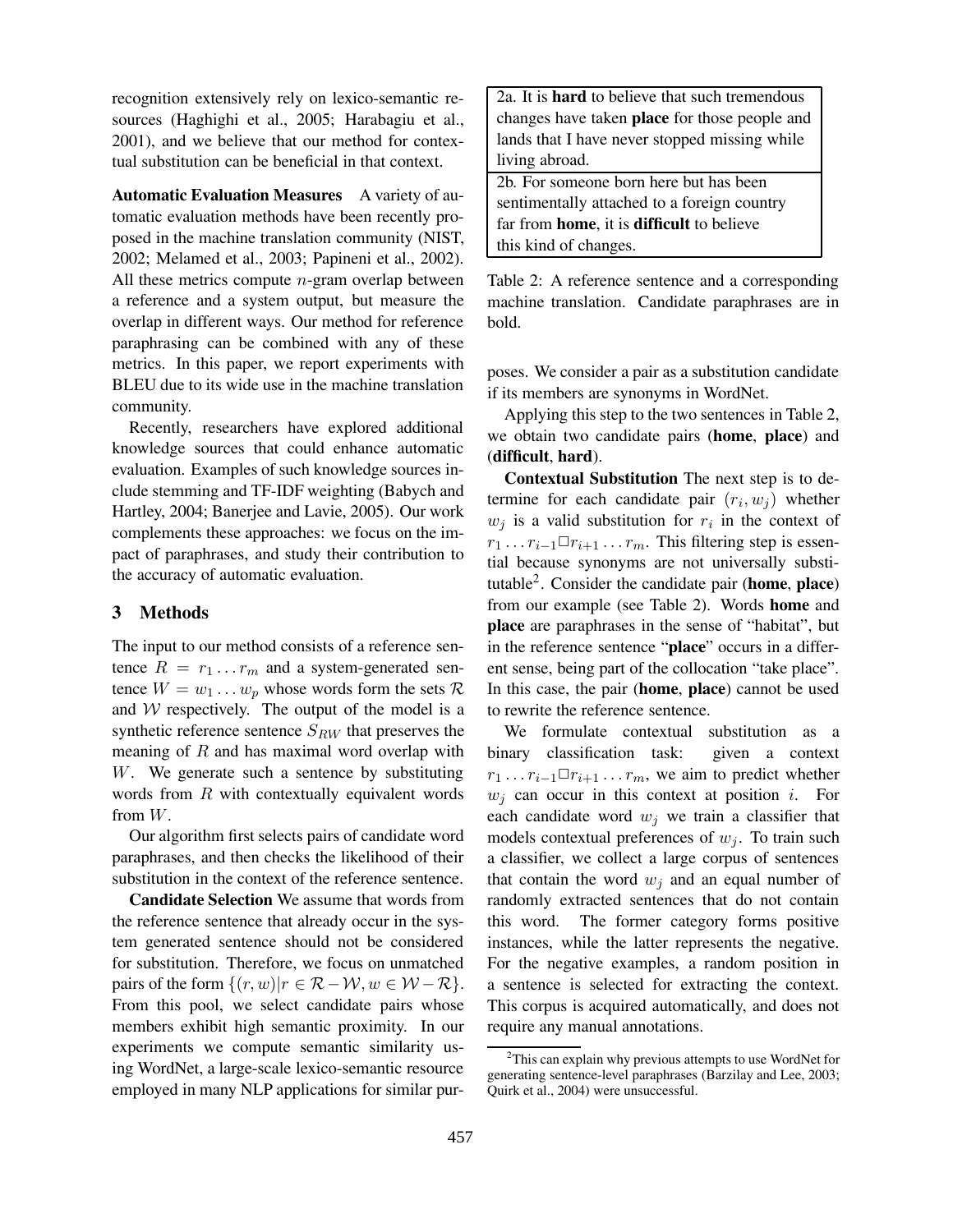recognition extensively rely on lexico-semantic resources (Haghighi et al., 2005; Harabagiu et al., 2001), and we believe that our method for contextual substitution can be beneficial in that context.

**Automatic Evaluation Measures** A variety of automatic evaluation methods have been recently proposed in the machine translation community (NIST, 2002; Melamed et al., 2003; Papineni et al., 2002). All these metrics compute  $n$ -gram overlap between a reference and a system output, but measure the overlap in different ways. Our method for reference paraphrasing can be combined with any of these metrics. In this paper, we report experiments with BLEU due to its wide use in the machine translation community.

Recently, researchers have explored additional knowledge sources that could enhance automatic evaluation. Examples of such knowledge sources include stemming and TF-IDF weighting (Babych and Hartley, 2004; Banerjee and Lavie, 2005). Our work complements these approaches: we focus on the impact of paraphrases, and study their contribution to the accuracy of automatic evaluation.

## **3 Methods**

The input to our method consists of a reference sentence  $R = r_1 \dots r_m$  and a system-generated sentence  $W = w_1 \dots w_p$  whose words form the sets  $\mathcal{R}$ and  $W$  respectively. The output of the model is a synthetic reference sentence  $S_{RW}$  that preserves the meaning of  $R$  and has maximal word overlap with W. We generate such a sentence by substituting words from  $R$  with contextually equivalent words from W.

Our algorithm first selects pairs of candidate word paraphrases, and then checks the likelihood of their substitution in the context of the reference sentence.

**Candidate Selection** We assume that words from the reference sentence that already occur in the system generated sentence should not be considered for substitution. Therefore, we focus on unmatched pairs of the form  $\{(r, w)| r \in \mathcal{R} - \mathcal{W}, w \in \mathcal{W} - \mathcal{R}\}.$ From this pool, we select candidate pairs whose members exhibit high semantic proximity. In our experiments we compute semantic similarity using WordNet, a large-scale lexico-semantic resource employed in many NLP applications for similar pur2a. It is **hard** to believe that such tremendous changes have taken **place** for those people and lands that I have never stopped missing while living abroad.

2b. For someone born here but has been sentimentally attached to a foreign country far from **home**, it is **difficult** to believe this kind of changes.

Table 2: A reference sentence and a corresponding machine translation. Candidate paraphrases are in bold.

poses. We consider a pair as a substitution candidate if its members are synonyms in WordNet.

Applying this step to the two sentences in Table 2, we obtain two candidate pairs (**home**, **place**) and (**difficult**, **hard**).

**Contextual Substitution** The next step is to determine for each candidate pair  $(r_i, w_j)$  whether  $w_j$  is a valid substitution for  $r_i$  in the context of  $r_1 \ldots r_{i-1} \Box r_{i+1} \ldots r_m$ . This filtering step is essential because synonyms are not universally substitutable<sup>2</sup> . Consider the candidate pair (**home**, **place**) from our example (see Table 2). Words **home** and **place** are paraphrases in the sense of "habitat", but in the reference sentence "**place**" occurs in a different sense, being part of the collocation "take place". In this case, the pair (**home**, **place**) cannot be used to rewrite the reference sentence.

We formulate contextual substitution as a binary classification task: given a context  $r_1 \dots r_{i-1} \square r_{i+1} \dots r_m$ , we aim to predict whether  $w_i$  can occur in this context at position i. For each candidate word  $w_j$  we train a classifier that models contextual preferences of  $w_j$ . To train such a classifier, we collect a large corpus of sentences that contain the word  $w_j$  and an equal number of randomly extracted sentences that do not contain this word. The former category forms positive instances, while the latter represents the negative. For the negative examples, a random position in a sentence is selected for extracting the context. This corpus is acquired automatically, and does not require any manual annotations.

<sup>&</sup>lt;sup>2</sup>This can explain why previous attempts to use WordNet for generating sentence-level paraphrases (Barzilay and Lee, 2003; Quirk et al., 2004) were unsuccessful.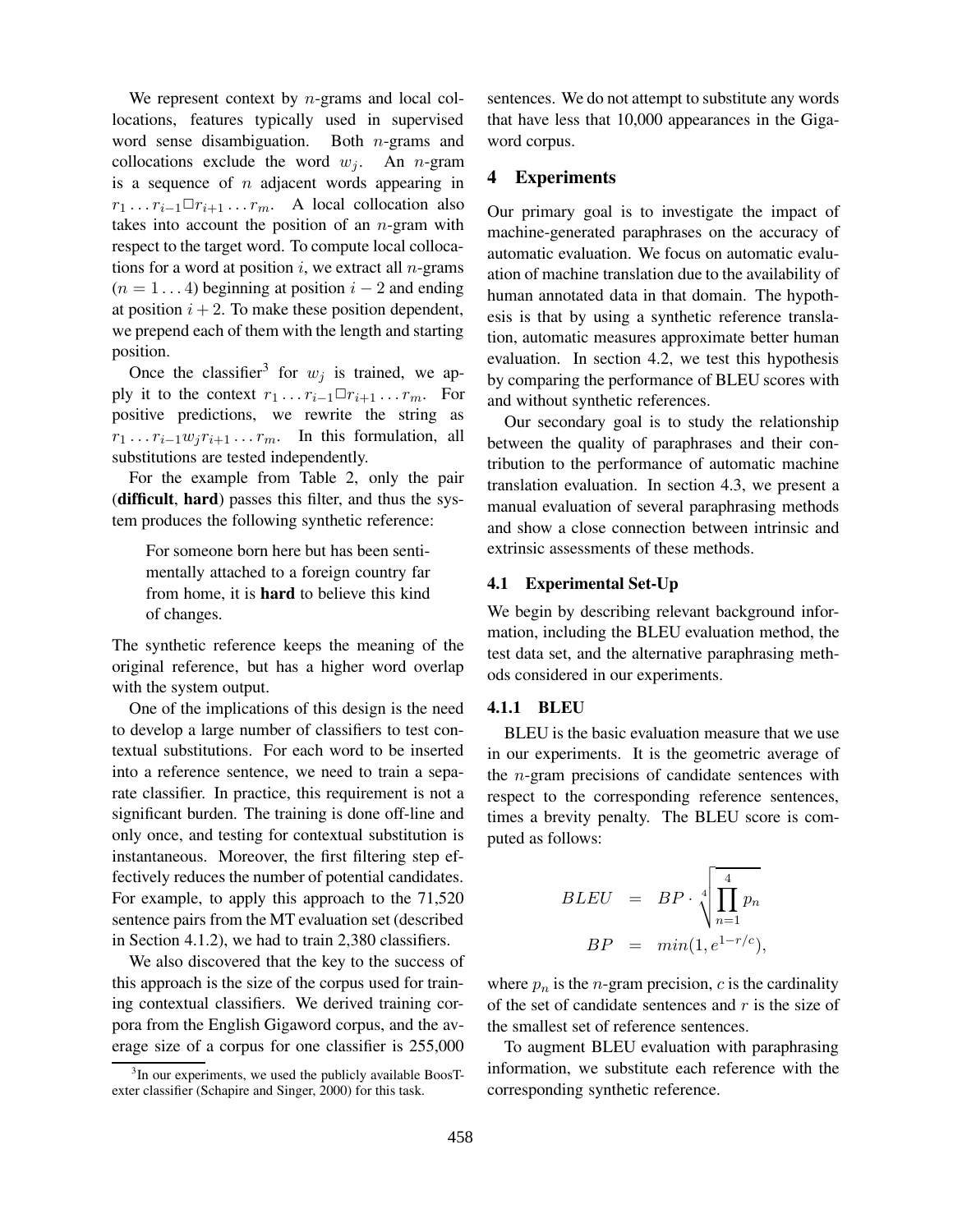We represent context by  $n$ -grams and local collocations, features typically used in supervised word sense disambiguation. Both  $n$ -grams and collocations exclude the word  $w_i$ . An *n*-gram is a sequence of  $n$  adjacent words appearing in  $r_1 \dots r_{i-1} \square r_{i+1} \dots r_m$ . A local collocation also takes into account the position of an  $n$ -gram with respect to the target word. To compute local collocations for a word at position  $i$ , we extract all *n*-grams  $(n = 1 \dots 4)$  beginning at position  $i - 2$  and ending at position  $i + 2$ . To make these position dependent, we prepend each of them with the length and starting position.

Once the classifier<sup>3</sup> for  $w_j$  is trained, we apply it to the context  $r_1 \dots r_{i-1} \square r_{i+1} \dots r_m$ . For positive predictions, we rewrite the string as  $r_1 \ldots r_{i-1} w_j r_{i+1} \ldots r_m$ . In this formulation, all substitutions are tested independently.

For the example from Table 2, only the pair (**difficult**, **hard**) passes this filter, and thus the system produces the following synthetic reference:

For someone born here but has been sentimentally attached to a foreign country far from home, it is **hard** to believe this kind of changes.

The synthetic reference keeps the meaning of the original reference, but has a higher word overlap with the system output.

One of the implications of this design is the need to develop a large number of classifiers to test contextual substitutions. For each word to be inserted into a reference sentence, we need to train a separate classifier. In practice, this requirement is not a significant burden. The training is done off-line and only once, and testing for contextual substitution is instantaneous. Moreover, the first filtering step effectively reduces the number of potential candidates. For example, to apply this approach to the 71,520 sentence pairs from the MT evaluation set (described in Section 4.1.2), we had to train 2,380 classifiers.

We also discovered that the key to the success of this approach is the size of the corpus used for training contextual classifiers. We derived training corpora from the English Gigaword corpus, and the average size of a corpus for one classifier is 255,000

sentences. We do not attempt to substitute any words that have less that 10,000 appearances in the Gigaword corpus.

## **4 Experiments**

Our primary goal is to investigate the impact of machine-generated paraphrases on the accuracy of automatic evaluation. We focus on automatic evaluation of machine translation due to the availability of human annotated data in that domain. The hypothesis is that by using a synthetic reference translation, automatic measures approximate better human evaluation. In section 4.2, we test this hypothesis by comparing the performance of BLEU scores with and without synthetic references.

Our secondary goal is to study the relationship between the quality of paraphrases and their contribution to the performance of automatic machine translation evaluation. In section 4.3, we present a manual evaluation of several paraphrasing methods and show a close connection between intrinsic and extrinsic assessments of these methods.

#### **4.1 Experimental Set-Up**

We begin by describing relevant background information, including the BLEU evaluation method, the test data set, and the alternative paraphrasing methods considered in our experiments.

## **4.1.1 BLEU**

BLEU is the basic evaluation measure that we use in our experiments. It is the geometric average of the n-gram precisions of candidate sentences with respect to the corresponding reference sentences, times a brevity penalty. The BLEU score is computed as follows:

$$
BLEU = BP \cdot \sqrt[4]{\prod_{n=1}^{4} p_n}
$$

$$
BP = min(1, e^{1-r/c}),
$$

where  $p_n$  is the *n*-gram precision, *c* is the cardinality of the set of candidate sentences and  $r$  is the size of the smallest set of reference sentences.

To augment BLEU evaluation with paraphrasing information, we substitute each reference with the corresponding synthetic reference.

<sup>&</sup>lt;sup>3</sup>In our experiments, we used the publicly available BoosTexter classifier (Schapire and Singer, 2000) for this task.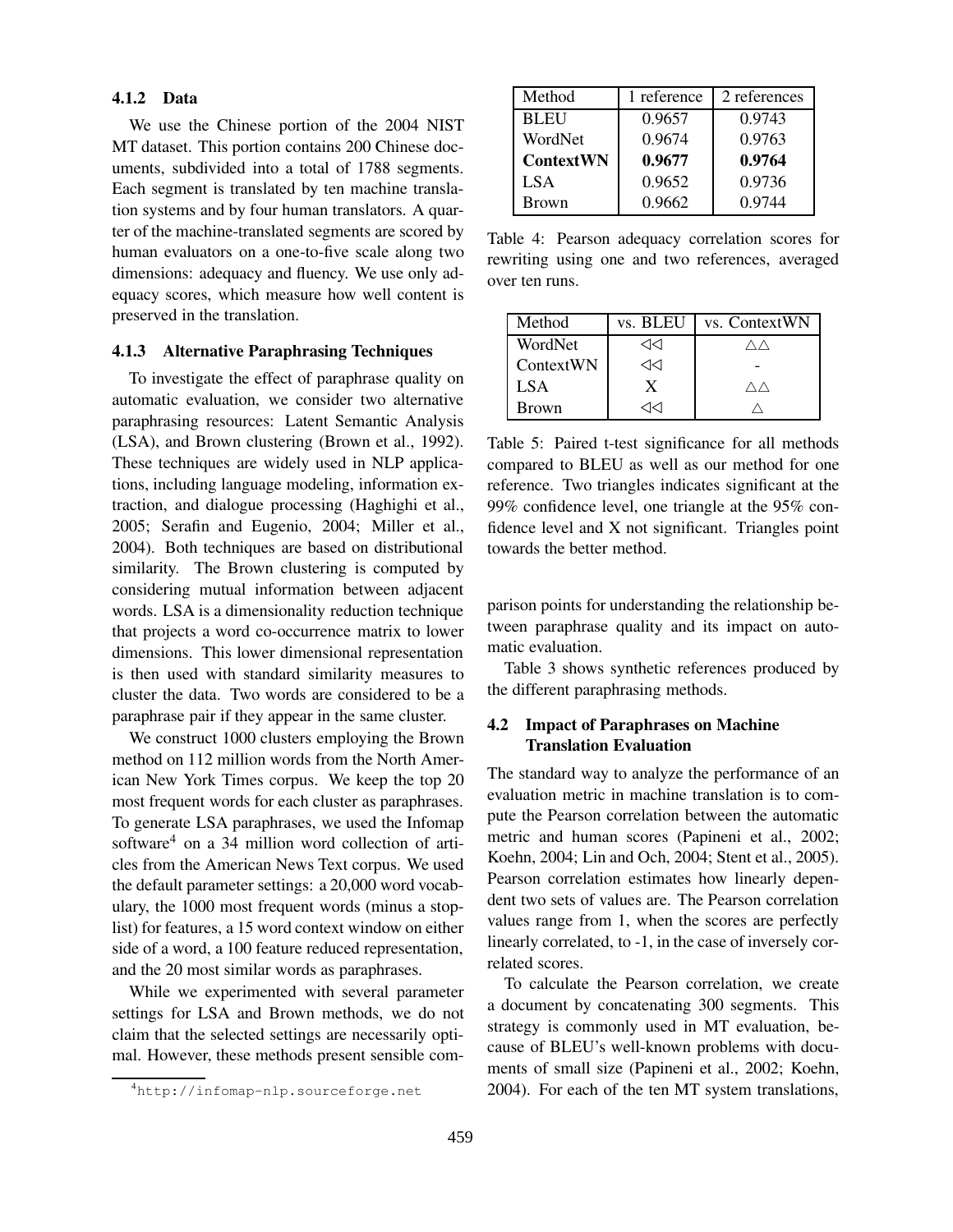## **4.1.2 Data**

We use the Chinese portion of the 2004 NIST MT dataset. This portion contains 200 Chinese documents, subdivided into a total of 1788 segments. Each segment is translated by ten machine translation systems and by four human translators. A quarter of the machine-translated segments are scored by human evaluators on a one-to-five scale along two dimensions: adequacy and fluency. We use only adequacy scores, which measure how well content is preserved in the translation.

#### **4.1.3 Alternative Paraphrasing Techniques**

To investigate the effect of paraphrase quality on automatic evaluation, we consider two alternative paraphrasing resources: Latent Semantic Analysis (LSA), and Brown clustering (Brown et al., 1992). These techniques are widely used in NLP applications, including language modeling, information extraction, and dialogue processing (Haghighi et al., 2005; Serafin and Eugenio, 2004; Miller et al., 2004). Both techniques are based on distributional similarity. The Brown clustering is computed by considering mutual information between adjacent words. LSA is a dimensionality reduction technique that projects a word co-occurrence matrix to lower dimensions. This lower dimensional representation is then used with standard similarity measures to cluster the data. Two words are considered to be a paraphrase pair if they appear in the same cluster.

We construct 1000 clusters employing the Brown method on 112 million words from the North American New York Times corpus. We keep the top 20 most frequent words for each cluster as paraphrases. To generate LSA paraphrases, we used the Infomap software<sup>4</sup> on a 34 million word collection of articles from the American News Text corpus. We used the default parameter settings: a 20,000 word vocabulary, the 1000 most frequent words (minus a stoplist) for features, a 15 word context window on either side of a word, a 100 feature reduced representation, and the 20 most similar words as paraphrases.

While we experimented with several parameter settings for LSA and Brown methods, we do not claim that the selected settings are necessarily optimal. However, these methods present sensible com-

| Method           | 1 reference | 2 references |
|------------------|-------------|--------------|
| <b>BLEU</b>      | 0.9657      | 0.9743       |
| WordNet          | 0.9674      | 0.9763       |
| <b>ContextWN</b> | 0.9677      | 0.9764       |
| LSA.             | 0.9652      | 0.9736       |
| <b>Brown</b>     | 0.9662      | 0.9744       |

Table 4: Pearson adequacy correlation scores for rewriting using one and two references, averaged over ten runs.

| Method    | vs. BLEU | vs. ContextWN  |
|-----------|----------|----------------|
| WordNet   | ⊲⊲       |                |
| ContextWN | ⊲⊲       |                |
| LSA       | X        | $\wedge\wedge$ |
| Brown     | 7K I     |                |

Table 5: Paired t-test significance for all methods compared to BLEU as well as our method for one reference. Two triangles indicates significant at the 99% confidence level, one triangle at the 95% confidence level and X not significant. Triangles point towards the better method.

parison points for understanding the relationship between paraphrase quality and its impact on automatic evaluation.

Table 3 shows synthetic references produced by the different paraphrasing methods.

## **4.2 Impact of Paraphrases on Machine Translation Evaluation**

The standard way to analyze the performance of an evaluation metric in machine translation is to compute the Pearson correlation between the automatic metric and human scores (Papineni et al., 2002; Koehn, 2004; Lin and Och, 2004; Stent et al., 2005). Pearson correlation estimates how linearly dependent two sets of values are. The Pearson correlation values range from 1, when the scores are perfectly linearly correlated, to -1, in the case of inversely correlated scores.

To calculate the Pearson correlation, we create a document by concatenating 300 segments. This strategy is commonly used in MT evaluation, because of BLEU's well-known problems with documents of small size (Papineni et al., 2002; Koehn, 2004). For each of the ten MT system translations,

<sup>4</sup>http://infomap-nlp.sourceforge.net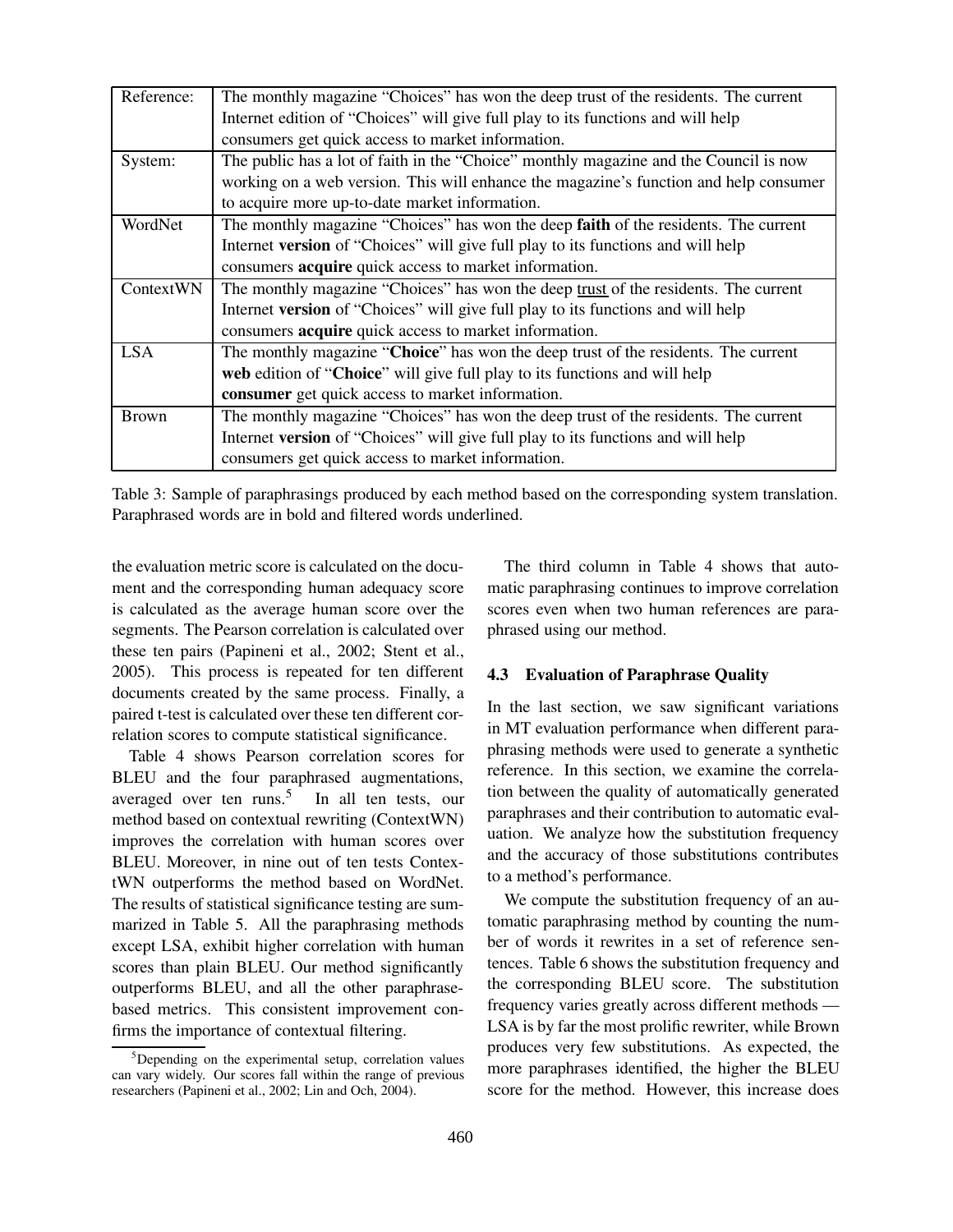| Reference:   | The monthly magazine "Choices" has won the deep trust of the residents. The current        |  |  |
|--------------|--------------------------------------------------------------------------------------------|--|--|
|              | Internet edition of "Choices" will give full play to its functions and will help           |  |  |
|              | consumers get quick access to market information.                                          |  |  |
| System:      | The public has a lot of faith in the "Choice" monthly magazine and the Council is now      |  |  |
|              | working on a web version. This will enhance the magazine's function and help consumer      |  |  |
|              | to acquire more up-to-date market information.                                             |  |  |
| WordNet      | The monthly magazine "Choices" has won the deep <b>faith</b> of the residents. The current |  |  |
|              | Internet version of "Choices" will give full play to its functions and will help           |  |  |
|              | consumers <b>acquire</b> quick access to market information.                               |  |  |
| ContextWN    | The monthly magazine "Choices" has won the deep trust of the residents. The current        |  |  |
|              | Internet version of "Choices" will give full play to its functions and will help           |  |  |
|              | consumers <b>acquire</b> quick access to market information.                               |  |  |
| <b>LSA</b>   | The monthly magazine "Choice" has won the deep trust of the residents. The current         |  |  |
|              | web edition of "Choice" will give full play to its functions and will help                 |  |  |
|              | consumer get quick access to market information.                                           |  |  |
| <b>Brown</b> | The monthly magazine "Choices" has won the deep trust of the residents. The current        |  |  |
|              | Internet version of "Choices" will give full play to its functions and will help           |  |  |
|              | consumers get quick access to market information.                                          |  |  |

Table 3: Sample of paraphrasings produced by each method based on the corresponding system translation. Paraphrased words are in bold and filtered words underlined.

the evaluation metric score is calculated on the document and the corresponding human adequacy score is calculated as the average human score over the segments. The Pearson correlation is calculated over these ten pairs (Papineni et al., 2002; Stent et al., 2005). This process is repeated for ten different documents created by the same process. Finally, a paired t-test is calculated over these ten different correlation scores to compute statistical significance.

Table 4 shows Pearson correlation scores for BLEU and the four paraphrased augmentations, averaged over ten runs.<sup>5</sup> In all ten tests, our method based on contextual rewriting (ContextWN) improves the correlation with human scores over BLEU. Moreover, in nine out of ten tests ContextWN outperforms the method based on WordNet. The results of statistical significance testing are summarized in Table 5. All the paraphrasing methods except LSA, exhibit higher correlation with human scores than plain BLEU. Our method significantly outperforms BLEU, and all the other paraphrasebased metrics. This consistent improvement confirms the importance of contextual filtering.

The third column in Table 4 shows that automatic paraphrasing continues to improve correlation scores even when two human references are paraphrased using our method.

#### **4.3 Evaluation of Paraphrase Quality**

In the last section, we saw significant variations in MT evaluation performance when different paraphrasing methods were used to generate a synthetic reference. In this section, we examine the correlation between the quality of automatically generated paraphrases and their contribution to automatic evaluation. We analyze how the substitution frequency and the accuracy of those substitutions contributes to a method's performance.

We compute the substitution frequency of an automatic paraphrasing method by counting the number of words it rewrites in a set of reference sentences. Table 6 shows the substitution frequency and the corresponding BLEU score. The substitution frequency varies greatly across different methods — LSA is by far the most prolific rewriter, while Brown produces very few substitutions. As expected, the more paraphrases identified, the higher the BLEU score for the method. However, this increase does

 $5$ Depending on the experimental setup, correlation values can vary widely. Our scores fall within the range of previous researchers (Papineni et al., 2002; Lin and Och, 2004).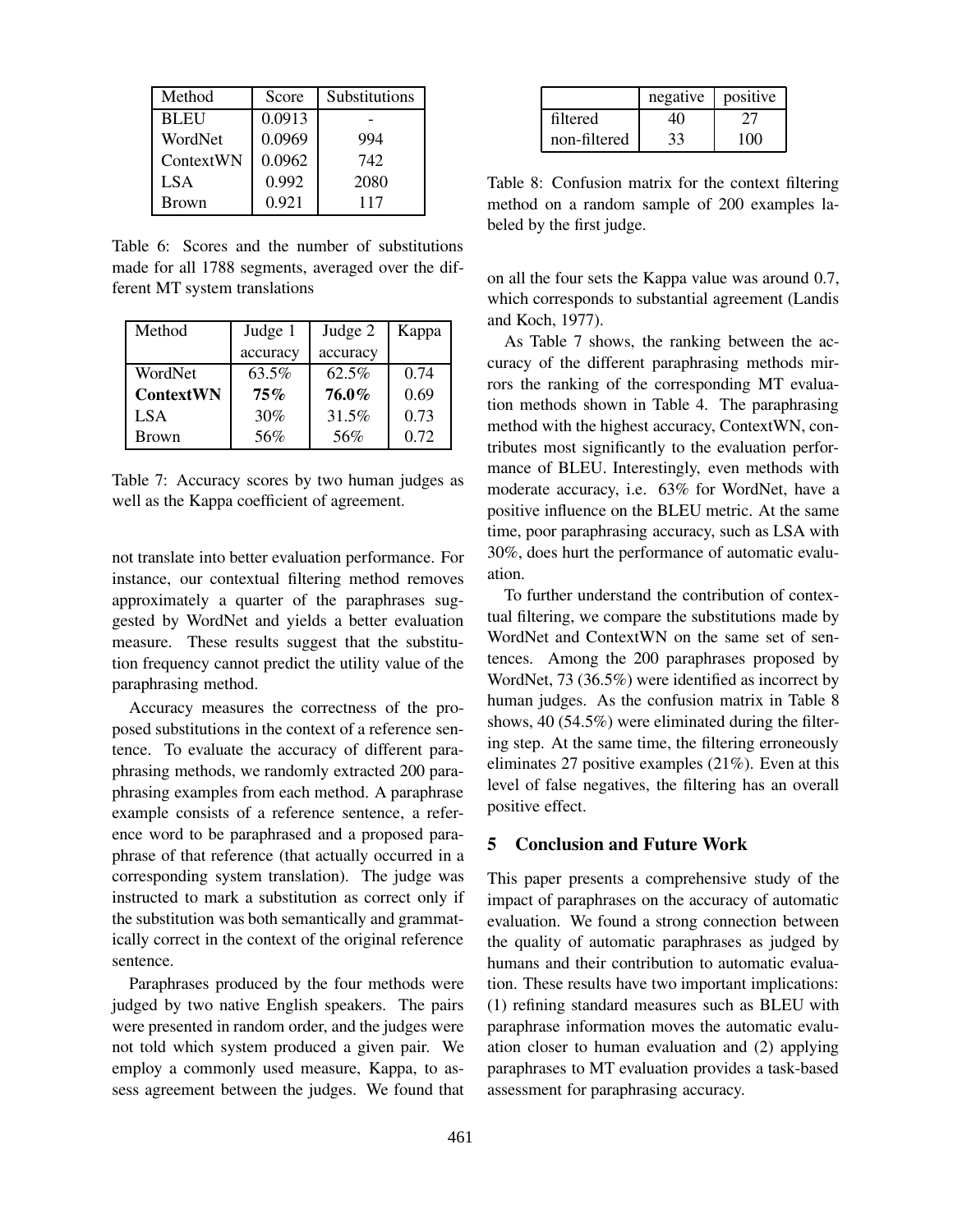| Method      | Score  | Substitutions |
|-------------|--------|---------------|
| <b>BLEU</b> | 0.0913 |               |
| WordNet     | 0.0969 | 994           |
| ContextWN   | 0.0962 | 742           |
| <b>LSA</b>  | 0.992  | 2080          |
| Brown       | 0.921  | 117           |

Table 6: Scores and the number of substitutions made for all 1788 segments, averaged over the different MT system translations

| Method            | Judge 1  | Judge 2  | Kappa |
|-------------------|----------|----------|-------|
|                   | accuracy | accuracy |       |
| WordNet           | $63.5\%$ | 62.5%    | 0.74  |
| <b>Context WN</b> | 75%      | 76.0%    | 0.69  |
| LSA.              | 30%      | 31.5%    | 0.73  |
| Brown             | 56%      | 56%      | 0.72  |

Table 7: Accuracy scores by two human judges as well as the Kappa coefficient of agreement.

not translate into better evaluation performance. For instance, our contextual filtering method removes approximately a quarter of the paraphrases suggested by WordNet and yields a better evaluation measure. These results suggest that the substitution frequency cannot predict the utility value of the paraphrasing method.

Accuracy measures the correctness of the proposed substitutions in the context of a reference sentence. To evaluate the accuracy of different paraphrasing methods, we randomly extracted 200 paraphrasing examples from each method. A paraphrase example consists of a reference sentence, a reference word to be paraphrased and a proposed paraphrase of that reference (that actually occurred in a corresponding system translation). The judge was instructed to mark a substitution as correct only if the substitution was both semantically and grammatically correct in the context of the original reference sentence.

Paraphrases produced by the four methods were judged by two native English speakers. The pairs were presented in random order, and the judges were not told which system produced a given pair. We employ a commonly used measure, Kappa, to assess agreement between the judges. We found that

|              | negative | positive |
|--------------|----------|----------|
| filtered     | 40       |          |
| non-filtered | 33       | 100      |

Table 8: Confusion matrix for the context filtering method on a random sample of 200 examples labeled by the first judge.

on all the four sets the Kappa value was around 0.7, which corresponds to substantial agreement (Landis and Koch, 1977).

As Table 7 shows, the ranking between the accuracy of the different paraphrasing methods mirrors the ranking of the corresponding MT evaluation methods shown in Table 4. The paraphrasing method with the highest accuracy, ContextWN, contributes most significantly to the evaluation performance of BLEU. Interestingly, even methods with moderate accuracy, i.e. 63% for WordNet, have a positive influence on the BLEU metric. At the same time, poor paraphrasing accuracy, such as LSA with 30%, does hurt the performance of automatic evaluation.

To further understand the contribution of contextual filtering, we compare the substitutions made by WordNet and ContextWN on the same set of sentences. Among the 200 paraphrases proposed by WordNet, 73 (36.5%) were identified as incorrect by human judges. As the confusion matrix in Table 8 shows, 40 (54.5%) were eliminated during the filtering step. At the same time, the filtering erroneously eliminates 27 positive examples (21%). Even at this level of false negatives, the filtering has an overall positive effect.

#### **5 Conclusion and Future Work**

This paper presents a comprehensive study of the impact of paraphrases on the accuracy of automatic evaluation. We found a strong connection between the quality of automatic paraphrases as judged by humans and their contribution to automatic evaluation. These results have two important implications: (1) refining standard measures such as BLEU with paraphrase information moves the automatic evaluation closer to human evaluation and (2) applying paraphrases to MT evaluation provides a task-based assessment for paraphrasing accuracy.